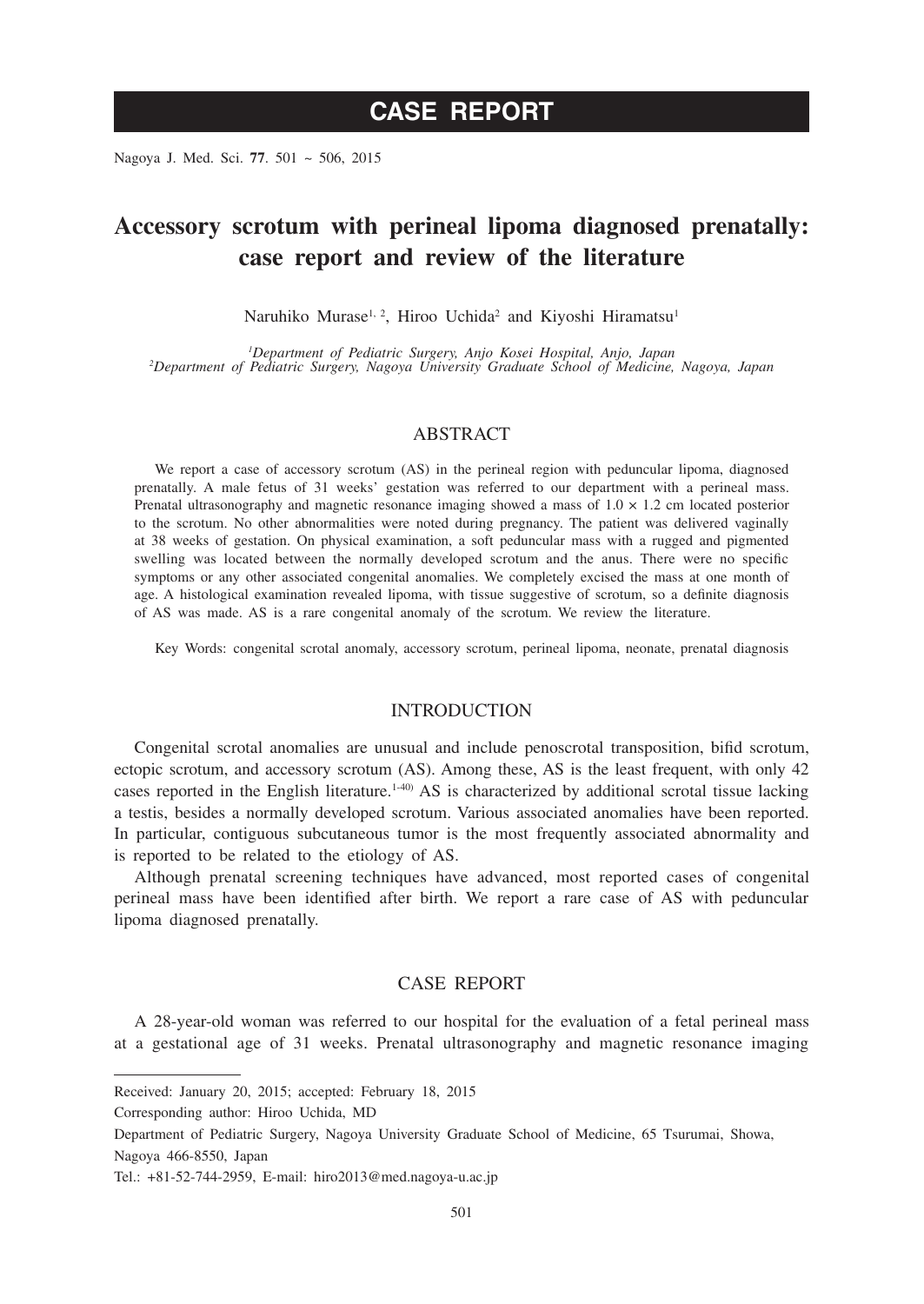Nagoya J. Med. Sci. **77**. 501 ~ 506, 2015

# **Accessory scrotum with perineal lipoma diagnosed prenatally: case report and review of the literature**

Naruhiko Murase<sup>1, 2</sup>, Hiroo Uchida<sup>2</sup> and Kiyoshi Hiramatsu<sup>1</sup>

<sup>1</sup>Department of Pediatric Surgery, Anjo Kosei Hospital, Anjo, Japan *Department of Pediatric Surgery, Anjo Kosei Hospital, Anjo, Japan <sup>2</sup> Department of Pediatric Surgery, Nagoya University Graduate School of Medicine, Nagoya, Japan*

# ABSTRACT

We report a case of accessory scrotum (AS) in the perineal region with peduncular lipoma, diagnosed prenatally. A male fetus of 31 weeks' gestation was referred to our department with a perineal mass. Prenatal ultrasonography and magnetic resonance imaging showed a mass of  $1.0 \times 1.2$  cm located posterior to the scrotum. No other abnormalities were noted during pregnancy. The patient was delivered vaginally at 38 weeks of gestation. On physical examination, a soft peduncular mass with a rugged and pigmented swelling was located between the normally developed scrotum and the anus. There were no specific symptoms or any other associated congenital anomalies. We completely excised the mass at one month of age. A histological examination revealed lipoma, with tissue suggestive of scrotum, so a definite diagnosis of AS was made. AS is a rare congenital anomaly of the scrotum. We review the literature.

Key Words: congenital scrotal anomaly, accessory scrotum, perineal lipoma, neonate, prenatal diagnosis

#### INTRODUCTION

Congenital scrotal anomalies are unusual and include penoscrotal transposition, bifid scrotum, ectopic scrotum, and accessory scrotum (AS). Among these, AS is the least frequent, with only 42 cases reported in the English literature.<sup>1-40)</sup> AS is characterized by additional scrotal tissue lacking a testis, besides a normally developed scrotum. Various associated anomalies have been reported. In particular, contiguous subcutaneous tumor is the most frequently associated abnormality and is reported to be related to the etiology of AS.

Although prenatal screening techniques have advanced, most reported cases of congenital perineal mass have been identified after birth. We report a rare case of AS with peduncular lipoma diagnosed prenatally.

# CASE REPORT

A 28-year-old woman was referred to our hospital for the evaluation of a fetal perineal mass at a gestational age of 31 weeks. Prenatal ultrasonography and magnetic resonance imaging

Received: January 20, 2015; accepted: February 18, 2015

Corresponding author: Hiroo Uchida, MD

Department of Pediatric Surgery, Nagoya University Graduate School of Medicine, 65 Tsurumai, Showa, Nagoya 466-8550, Japan

Tel.: +81-52-744-2959, E-mail: hiro2013@med.nagoya-u.ac.jp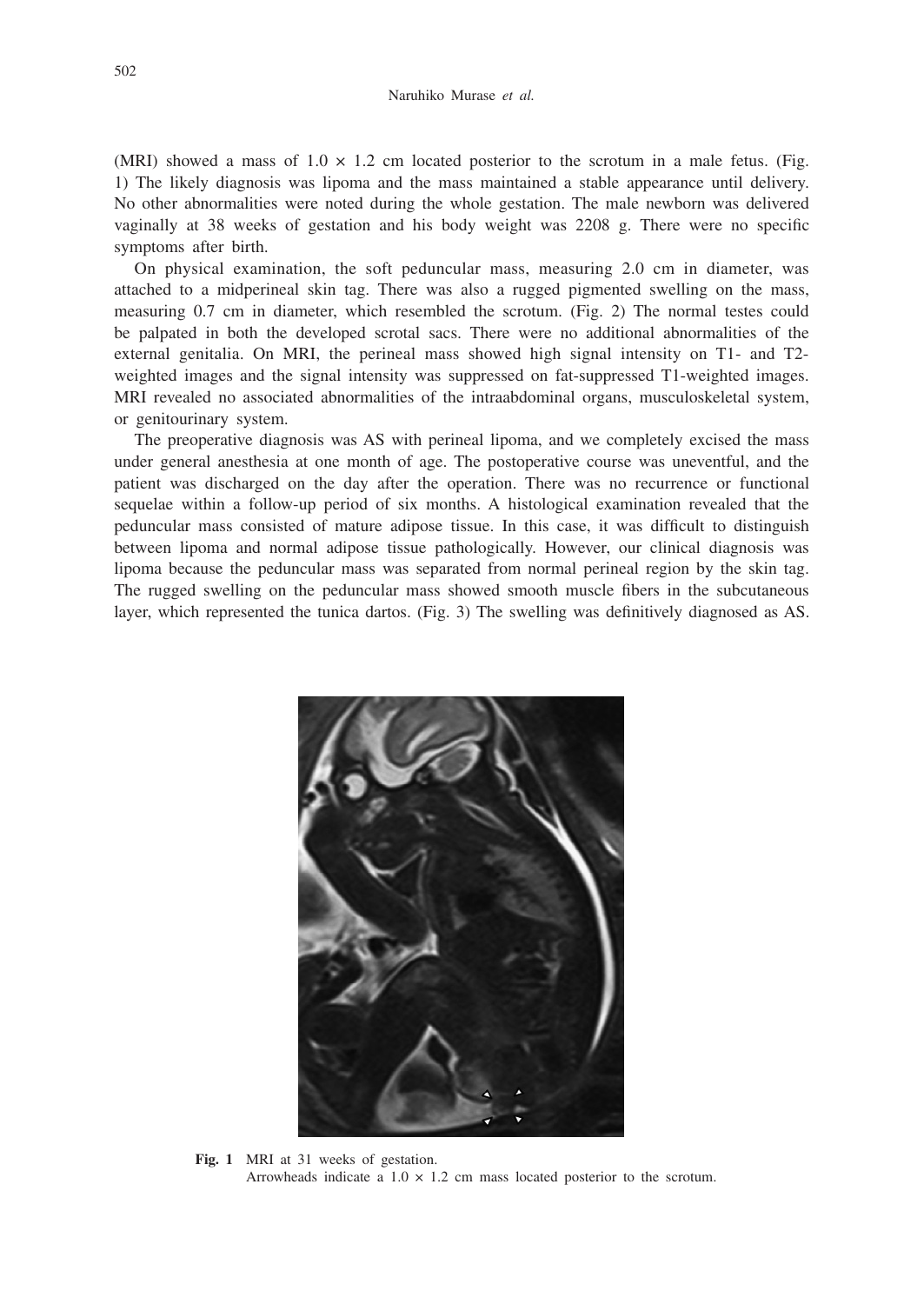(MRI) showed a mass of  $1.0 \times 1.2$  cm located posterior to the scrotum in a male fetus. (Fig. 1) The likely diagnosis was lipoma and the mass maintained a stable appearance until delivery. No other abnormalities were noted during the whole gestation. The male newborn was delivered vaginally at 38 weeks of gestation and his body weight was 2208 g. There were no specific symptoms after birth.

On physical examination, the soft peduncular mass, measuring 2.0 cm in diameter, was attached to a midperineal skin tag. There was also a rugged pigmented swelling on the mass, measuring 0.7 cm in diameter, which resembled the scrotum. (Fig. 2) The normal testes could be palpated in both the developed scrotal sacs. There were no additional abnormalities of the external genitalia. On MRI, the perineal mass showed high signal intensity on T1- and T2 weighted images and the signal intensity was suppressed on fat-suppressed T1-weighted images. MRI revealed no associated abnormalities of the intraabdominal organs, musculoskeletal system, or genitourinary system.

The preoperative diagnosis was AS with perineal lipoma, and we completely excised the mass under general anesthesia at one month of age. The postoperative course was uneventful, and the patient was discharged on the day after the operation. There was no recurrence or functional sequelae within a follow-up period of six months. A histological examination revealed that the peduncular mass consisted of mature adipose tissue. In this case, it was difficult to distinguish between lipoma and normal adipose tissue pathologically. However, our clinical diagnosis was lipoma because the peduncular mass was separated from normal perineal region by the skin tag. The rugged swelling on the peduncular mass showed smooth muscle fibers in the subcutaneous layer, which represented the tunica dartos. (Fig. 3) The swelling was definitively diagnosed as AS.



**Fig. 1** MRI at 31 weeks of gestation. Arrowheads indicate a  $1.0 \times 1.2$  cm mass located posterior to the scrotum.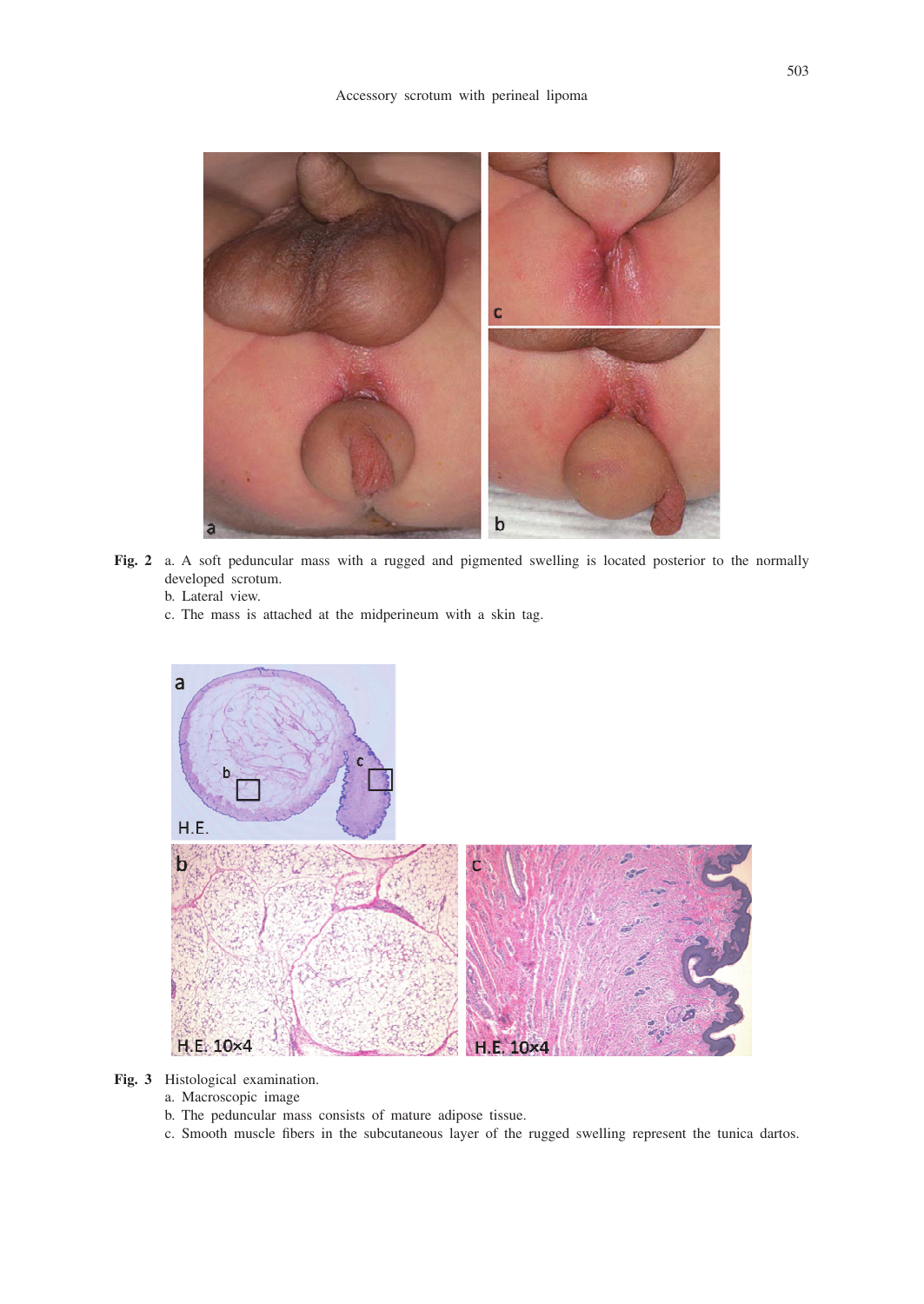

**Fig. 2** a. A soft peduncular mass with a rugged and pigmented swelling is located posterior to the normally developed scrotum.

#### b. Lateral view.

c. The mass is attached at the midperineum with a skin tag.



- **Fig. 3** Histological examination.
	- a. Macroscopic image
	- b. The peduncular mass consists of mature adipose tissue.
	- c. Smooth muscle fibers in the subcutaneous layer of the rugged swelling represent the tunica dartos.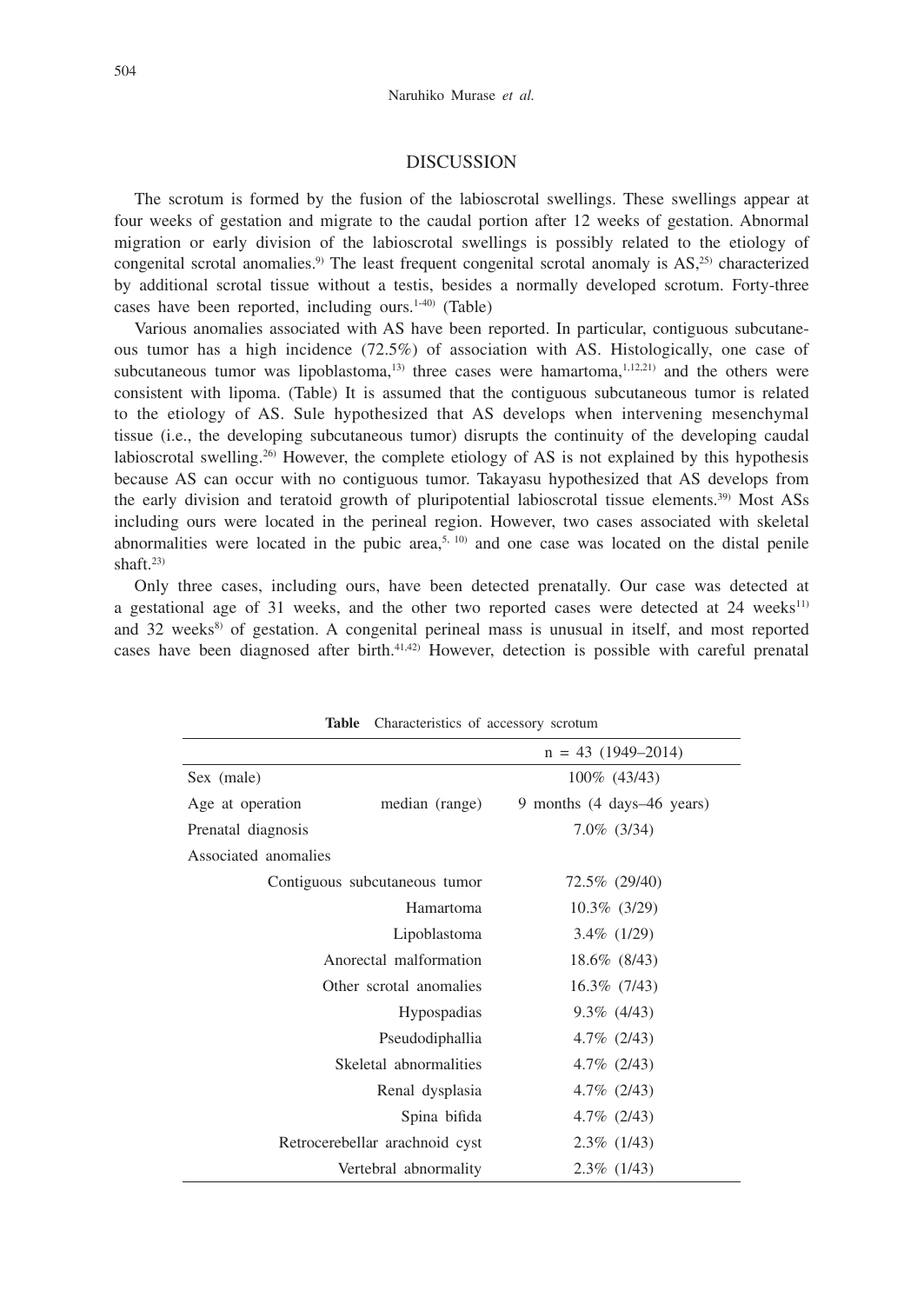#### DISCUSSION

The scrotum is formed by the fusion of the labioscrotal swellings. These swellings appear at four weeks of gestation and migrate to the caudal portion after 12 weeks of gestation. Abnormal migration or early division of the labioscrotal swellings is possibly related to the etiology of congenital scrotal anomalies.<sup>9)</sup> The least frequent congenital scrotal anomaly is  $AS<sub>1</sub><sup>25</sup>$  characterized by additional scrotal tissue without a testis, besides a normally developed scrotum. Forty-three cases have been reported, including ours. $1-40$  (Table)

Various anomalies associated with AS have been reported. In particular, contiguous subcutaneous tumor has a high incidence (72.5%) of association with AS. Histologically, one case of subcutaneous tumor was lipoblastoma, $13$  three cases were hamartoma, $1,12,21$  and the others were consistent with lipoma. (Table) It is assumed that the contiguous subcutaneous tumor is related to the etiology of AS. Sule hypothesized that AS develops when intervening mesenchymal tissue (i.e., the developing subcutaneous tumor) disrupts the continuity of the developing caudal labioscrotal swelling.<sup>26)</sup> However, the complete etiology of AS is not explained by this hypothesis because AS can occur with no contiguous tumor. Takayasu hypothesized that AS develops from the early division and teratoid growth of pluripotential labioscrotal tissue elements.<sup>39)</sup> Most ASs including ours were located in the perineal region. However, two cases associated with skeletal abnormalities were located in the pubic area,<sup>5, 10</sup> and one case was located on the distal penile shaft. $23$ 

Only three cases, including ours, have been detected prenatally. Our case was detected at a gestational age of 31 weeks, and the other two reported cases were detected at  $24$  weeks<sup>11)</sup> and 32 weeks<sup>8)</sup> of gestation. A congenital perineal mass is unusual in itself, and most reported cases have been diagnosed after birth. $41,42$  However, detection is possible with careful prenatal

| rapie<br>Characteristics of accessory scrotum |                            |
|-----------------------------------------------|----------------------------|
|                                               | $n = 43$ (1949–2014)       |
| Sex (male)                                    | 100\% (43/43)              |
| Age at operation<br>median (range)            | 9 months (4 days–46 years) |
| Prenatal diagnosis                            | $7.0\%$ (3/34)             |
| Associated anomalies                          |                            |
| Contiguous subcutaneous tumor                 | 72.5% (29/40)              |
| Hamartoma                                     | $10.3\%$ (3/29)            |
| Lipoblastoma                                  | $3.4\%$ (1/29)             |
| Anorectal malformation                        | 18.6% (8/43)               |
| Other scrotal anomalies                       | $16.3\%$ (7/43)            |
| <b>Hypospadias</b>                            | $9.3\%$ (4/43)             |
| Pseudodiphallia                               | $4.7\%$ (2/43)             |
| Skeletal abnormalities                        | $4.7\%$ (2/43)             |
| Renal dysplasia                               | $4.7\%$ (2/43)             |
| Spina bifida                                  | $4.7\%$ (2/43)             |
| Retrocerebellar arachnoid cyst                | $2.3\%$ (1/43)             |
| Vertebral abnormality                         | $2.3\%$ (1/43)             |

**Table** Characteristics of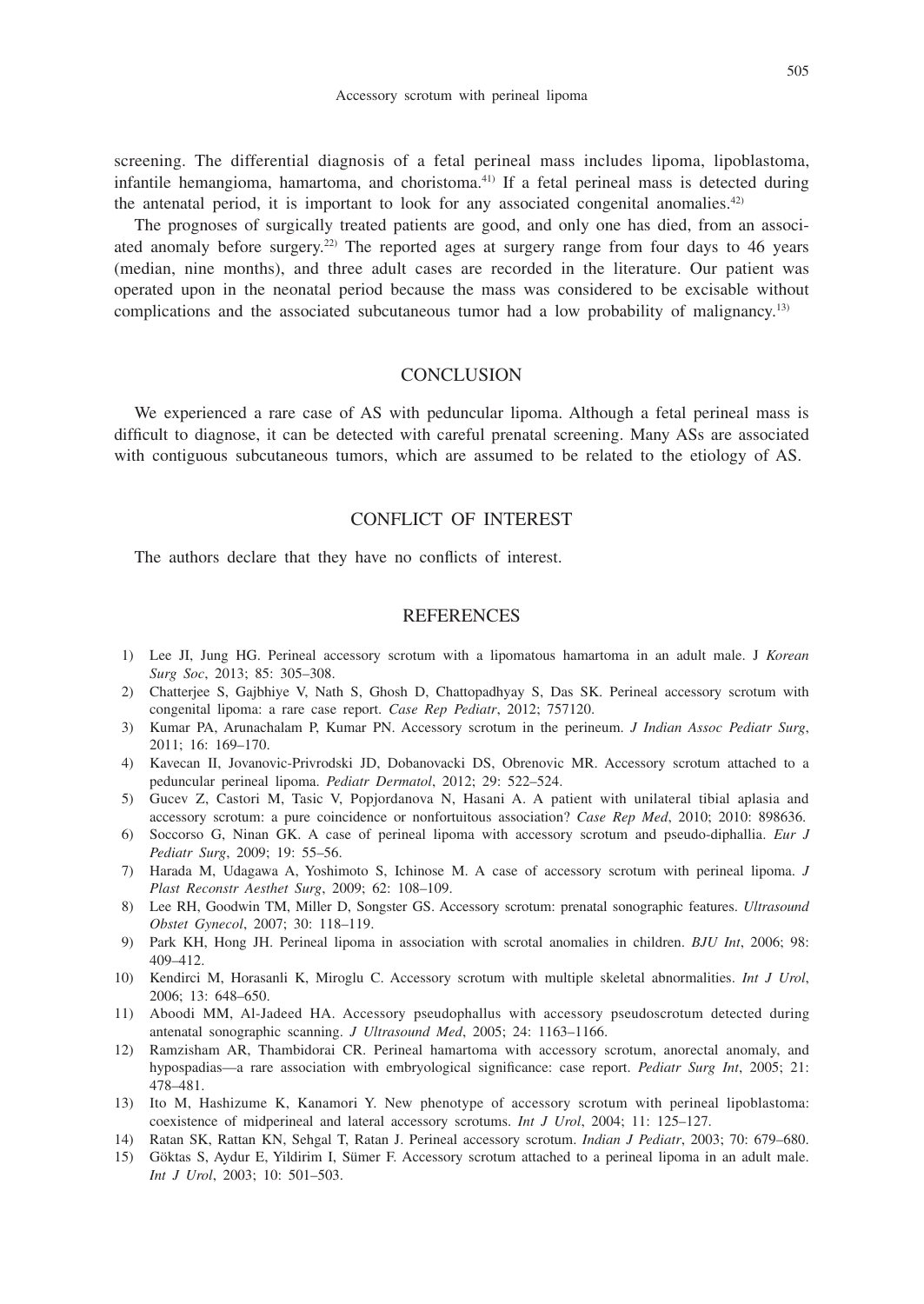screening. The differential diagnosis of a fetal perineal mass includes lipoma, lipoblastoma, infantile hemangioma, hamartoma, and choristoma.41) If a fetal perineal mass is detected during the antenatal period, it is important to look for any associated congenital anomalies.<sup>42)</sup>

The prognoses of surgically treated patients are good, and only one has died, from an associated anomaly before surgery.<sup>22)</sup> The reported ages at surgery range from four days to 46 years (median, nine months), and three adult cases are recorded in the literature. Our patient was operated upon in the neonatal period because the mass was considered to be excisable without complications and the associated subcutaneous tumor had a low probability of malignancy.<sup>13)</sup>

# **CONCLUSION**

We experienced a rare case of AS with peduncular lipoma. Although a fetal perineal mass is difficult to diagnose, it can be detected with careful prenatal screening. Many ASs are associated with contiguous subcutaneous tumors, which are assumed to be related to the etiology of AS.

# CONFLICT OF INTEREST

The authors declare that they have no conflicts of interest.

# **REFERENCES**

- 1) Lee JI, Jung HG. Perineal accessory scrotum with a lipomatous hamartoma in an adult male. J *Korean Surg Soc*, 2013; 85: 305–308.
- 2) Chatterjee S, Gajbhiye V, Nath S, Ghosh D, Chattopadhyay S, Das SK. Perineal accessory scrotum with congenital lipoma: a rare case report. *Case Rep Pediatr*, 2012; 757120.
- 3) Kumar PA, Arunachalam P, Kumar PN. Accessory scrotum in the perineum. *J Indian Assoc Pediatr Surg*, 2011; 16: 169–170.
- 4) Kavecan II, Jovanovic-Privrodski JD, Dobanovacki DS, Obrenovic MR. Accessory scrotum attached to a peduncular perineal lipoma. *Pediatr Dermatol*, 2012; 29: 522–524.
- 5) Gucev Z, Castori M, Tasic V, Popjordanova N, Hasani A. A patient with unilateral tibial aplasia and accessory scrotum: a pure coincidence or nonfortuitous association? *Case Rep Med*, 2010; 2010: 898636.
- 6) Soccorso G, Ninan GK. A case of perineal lipoma with accessory scrotum and pseudo-diphallia. *Eur J Pediatr Surg*, 2009; 19: 55–56.
- 7) Harada M, Udagawa A, Yoshimoto S, Ichinose M. A case of accessory scrotum with perineal lipoma. *J Plast Reconstr Aesthet Surg*, 2009; 62: 108–109.
- 8) Lee RH, Goodwin TM, Miller D, Songster GS. Accessory scrotum: prenatal sonographic features. *Ultrasound Obstet Gynecol*, 2007; 30: 118–119.
- 9) Park KH, Hong JH. Perineal lipoma in association with scrotal anomalies in children. *BJU Int*, 2006; 98: 409–412.
- 10) Kendirci M, Horasanli K, Miroglu C. Accessory scrotum with multiple skeletal abnormalities. *Int J Urol*, 2006; 13: 648–650.
- 11) Aboodi MM, Al-Jadeed HA. Accessory pseudophallus with accessory pseudoscrotum detected during antenatal sonographic scanning. *J Ultrasound Med*, 2005; 24: 1163–1166.
- 12) Ramzisham AR, Thambidorai CR. Perineal hamartoma with accessory scrotum, anorectal anomaly, and hypospadias—a rare association with embryological significance: case report. *Pediatr Surg Int*, 2005; 21: 478–481.
- 13) Ito M, Hashizume K, Kanamori Y. New phenotype of accessory scrotum with perineal lipoblastoma: coexistence of midperineal and lateral accessory scrotums. *Int J Urol*, 2004; 11: 125–127.
- 14) Ratan SK, Rattan KN, Sehgal T, Ratan J. Perineal accessory scrotum. *Indian J Pediatr*, 2003; 70: 679–680.
- 15) Göktas S, Aydur E, Yildirim I, Sümer F. Accessory scrotum attached to a perineal lipoma in an adult male. *Int J Urol*, 2003; 10: 501–503.